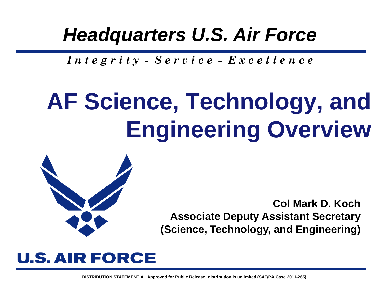### *Headquarters U.S. Air Force*

*I n t e g r i t y - S e r v i c e - E x c e l l e n c e*

# **AF Science, Technology, and Engineering Overview**



**Col Mark D. Koch Associate Deputy Assistant Secretary (Science, Technology, and Engineering)**

### **U.S. AIR FORCE**

**DISTRIBUTION STATEMENT A: Approved for Public Release; distribution is unlimited (SAF/PA Case 2011-265)**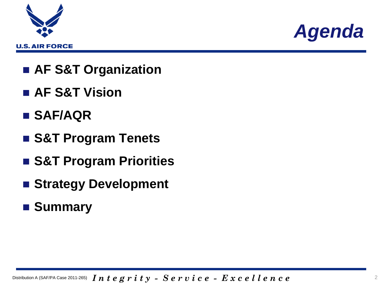



- **AF S&T Organization**
- **AF S&T Vision**
- **SAF/AQR**
- **S&T Program Tenets**
- **S&T Program Priorities**
- **Strategy Development**
- **Summary**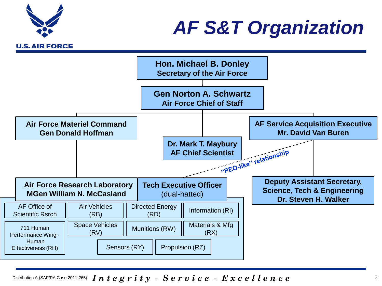

### *AF S&T Organization*



Distribution A (SAF/PA Case 2011-265)  $\,I\,n\,t\,e\,g\,r\,i\,t\,y\,$  -  $\,S\,e\,r\,v\,i\,c\,e\,$  -  $\,E\,x\,c\,e\,l\,l\,e\,n\,c\,e$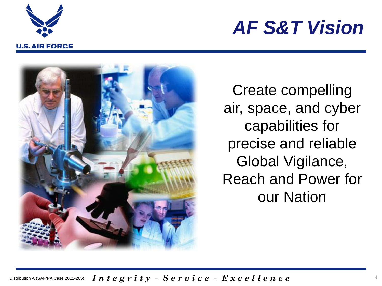

### *AF S&T Vision*



Create compelling air, space, and cyber capabilities for precise and reliable Global Vigilance, Reach and Power for our Nation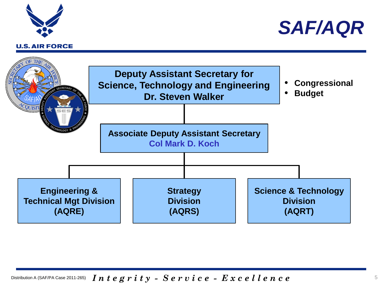





Distribution A (SAF/PA Case 2011-265)  $\,$   $\,I\,n$   $\,t\,e\,g\,r\,i\,t\,y\,$  -  $\,S\,e\,r\,v\,i\,c\,e\,$  -  $\,E\,x\,c\,e\,l\,l\,e\,n\,c\,e$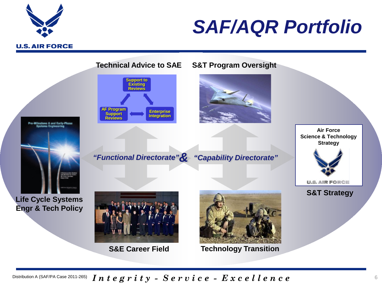

### *SAF/AQR Portfolio*

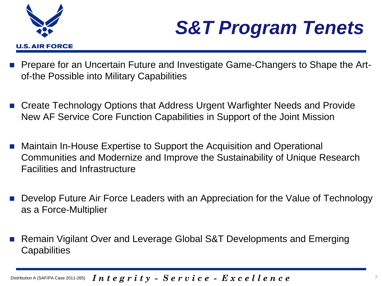

### *S&T Program Tenets*

- Prepare for an Uncertain Future and Investigate Game-Changers to Shape the Artof-the Possible into Military Capabilities
- Create Technology Options that Address Urgent Warfighter Needs and Provide New AF Service Core Function Capabilities in Support of the Joint Mission
- Maintain In-House Expertise to Support the Acquisition and Operational Communities and Modernize and Improve the Sustainability of Unique Research Facilities and Infrastructure
- Develop Future Air Force Leaders with an Appreciation for the Value of Technology as a Force-Multiplier
- Remain Vigilant Over and Leverage Global S&T Developments and Emerging **Capabilities**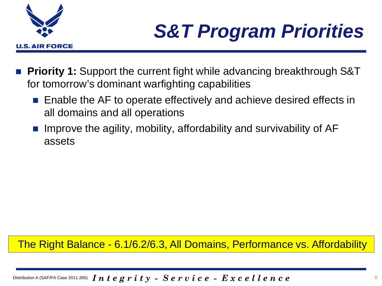

## *S&T Program Priorities*

- **Priority 1:** Support the current fight while advancing breakthrough S&T for tomorrow's dominant warfighting capabilities
	- Enable the AF to operate effectively and achieve desired effects in all domains and all operations
	- Improve the agility, mobility, affordability and survivability of AF assets

#### The Right Balance - 6.1/6.2/6.3, All Domains, Performance vs. Affordability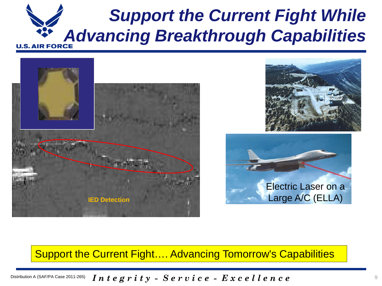### *Support the Current Fight While*  **Advancing Breakthrough Capabilities**







#### Support the Current Fight…. Advancing Tomorrow's Capabilities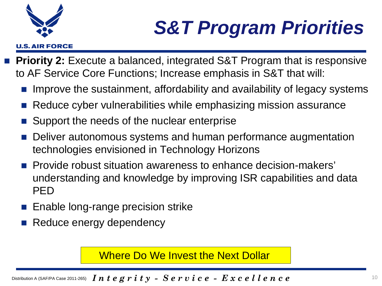U.S. AIR FORCE

## *S&T Program Priorities*

- **Priority 2:** Execute a balanced, integrated S&T Program that is responsive to AF Service Core Functions; Increase emphasis in S&T that will:
	- Improve the sustainment, affordability and availability of legacy systems
	- Reduce cyber vulnerabilities while emphasizing mission assurance
	- Support the needs of the nuclear enterprise
	- Deliver autonomous systems and human performance augmentation technologies envisioned in Technology Horizons
	- **Provide robust situation awareness to enhance decision-makers'** understanding and knowledge by improving ISR capabilities and data PED
	- **Enable long-range precision strike**
	- Reduce energy dependency

Where Do We Invest the Next Dollar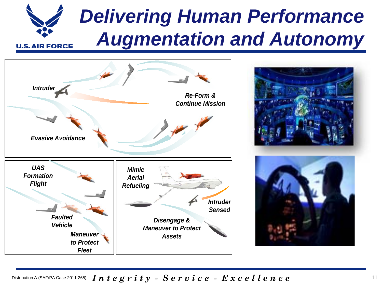### *Delivering Human Performance Augmentation and Autonomy* **U.S. AIR FORCE**





Distribution A (SAF/PA Case 2011-265)  $\,$   $\,I\,n$   $\,t\,e\,g\,r\,i\,t\,y\,$  -  $\,S\,e\,r\,v\,i\,c\,e$  -  $\,E\,x\,c\,e\,l\,l\,e\,n\,c\,e$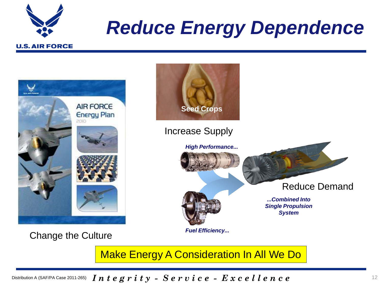

### *Reduce Energy Dependence*



Make Energy A Consideration In All We Do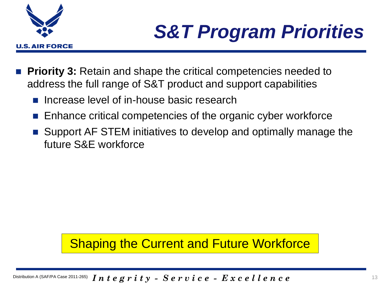

### *S&T Program Priorities*

- **Priority 3:** Retain and shape the critical competencies needed to address the full range of S&T product and support capabilities
	- Increase level of in-house basic research
	- Enhance critical competencies of the organic cyber workforce
	- Support AF STEM initiatives to develop and optimally manage the future S&E workforce

### Shaping the Current and Future Workforce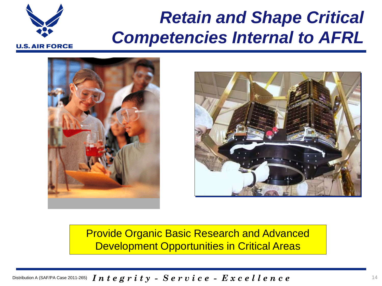### *Retain and Shape Critical Competencies Internal to AFRL*

**U.S. AIR FORCE** 





Provide Organic Basic Research and Advanced Development Opportunities in Critical Areas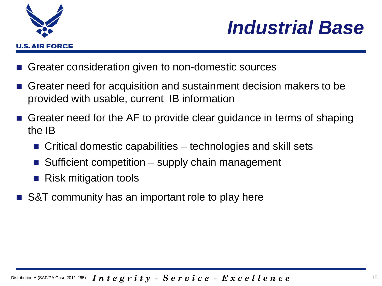



- Greater consideration given to non-domestic sources
- Greater need for acquisition and sustainment decision makers to be provided with usable, current IB information
- Greater need for the AF to provide clear guidance in terms of shaping the IB
	- Critical domestic capabilities technologies and skill sets
	- Sufficient competition supply chain management
	- Risk mitigation tools
- S&T community has an important role to play here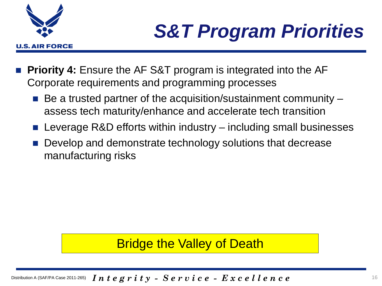

## *S&T Program Priorities*

- **Priority 4:** Ensure the AF S&T program is integrated into the AF Corporate requirements and programming processes
	- Be a trusted partner of the acquisition/sustainment community assess tech maturity/enhance and accelerate tech transition
	- Leverage R&D efforts within industry including small businesses
	- Develop and demonstrate technology solutions that decrease manufacturing risks

### Bridge the Valley of Death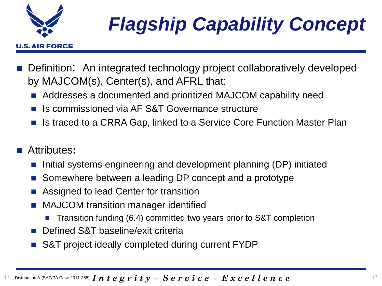

## *Flagship Capability Concept*

#### **U.S. AIR FORCE**

- Definition: An integrated technology project collaboratively developed by MAJCOM(s), Center(s), and AFRL that:
	- Addresses a documented and prioritized MAJCOM capability need
	- Is commissioned via AF S&T Governance structure
	- Is traced to a CRRA Gap, linked to a Service Core Function Master Plan

#### Attributes**:**

- Initial systems engineering and development planning (DP) initiated
- Somewhere between a leading DP concept and a prototype
- Assigned to lead Center for transition
- **MAJCOM transition manager identified** 
	- Transition funding (6.4) committed two years prior to S&T completion
- Defined S&T baseline/exit criteria
- S&T project ideally completed during current FYDP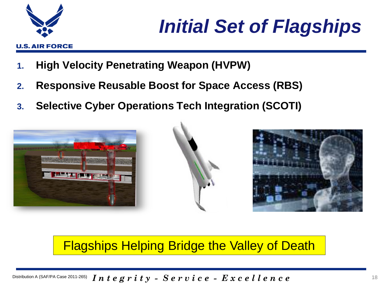

- **1. High Velocity Penetrating Weapon (HVPW)**
- **2. Responsive Reusable Boost for Space Access (RBS)**
- **3. Selective Cyber Operations Tech Integration (SCOTI)**







Flagships Helping Bridge the Valley of Death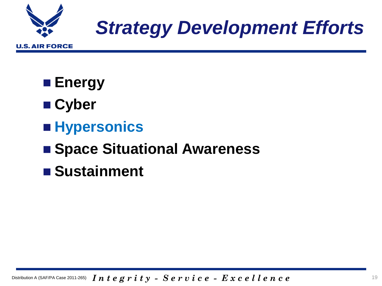

### *Strategy Development Efforts*

■ Energy

- **Cyber**
- **Hypersonics**

### ■ Space Situational Awareness

**Sustainment**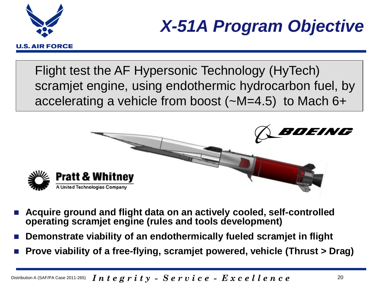

### *X-51A Program Objective*

Flight test the AF Hypersonic Technology (HyTech) scramjet engine, using endothermic hydrocarbon fuel, by accelerating a vehicle from boost (~M=4.5) to Mach 6+



- **Acquire ground and flight data on an actively cooled, self-controlled operating scramjet engine (rules and tools development)**
- **Demonstrate viability of an endothermically fueled scramjet in flight**
- **Prove viability of a free-flying, scramjet powered, vehicle (Thrust > Drag)**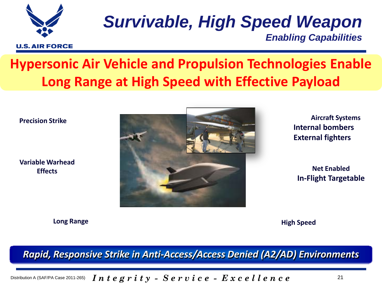

## *Survivable, High Speed Weapon*

*Enabling Capabilities*

### **Hypersonic Air Vehicle and Propulsion Technologies Enable Long Range at High Speed with Effective Payload**

**Precision Strike**

**Variable Warhead Effects**



**Aircraft Systems Internal bombers External fighters**

**Net Enabled In-Flight Targetable**

**Long Range High Speed** 

*Rapid, Responsive Strike in Anti-Access/Access Denied (A2/AD) Environments*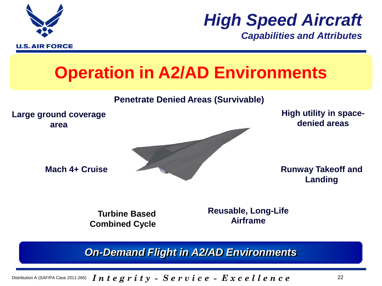

*High Speed Aircraft*

*Capabilities and Attributes*

### **Operation in A2/AD Environments**

#### **Penetrate Denied Areas (Survivable)**



**Turbine Based Combined Cycle** **Airframe**

*On-Demand Flight in A2/AD Environments*

Distribution A (SAF/PA Case 2011-265)  $\,$   $\,I\,n$   $\,t\,e\,g\,r\,i\,t\,y\,$  -  $\,S\,e\,r\,v\,i\,c\,e\,$  -  $\,E\,x\,c\,e\,l\,l\,e\,n\,c\,e$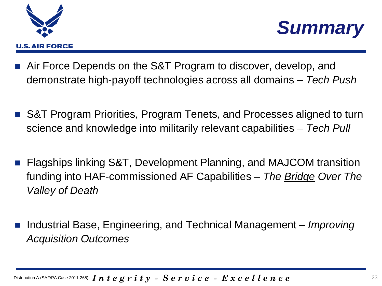



- Air Force Depends on the S&T Program to discover, develop, and demonstrate high-payoff technologies across all domains – *Tech Push*
- S&T Program Priorities, Program Tenets, and Processes aligned to turn science and knowledge into militarily relevant capabilities – *Tech Pull*
- Flagships linking S&T, Development Planning, and MAJCOM transition funding into HAF-commissioned AF Capabilities – *The Bridge Over The Valley of Death*
- Industrial Base, Engineering, and Technical Management *Improving Acquisition Outcomes*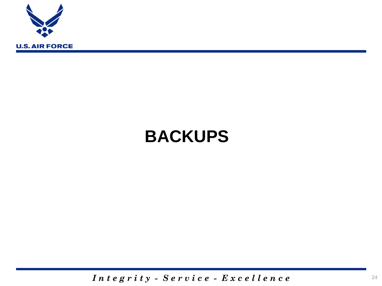

### **BACKUPS**

*I n t e g r i t y - S e r v i c e - E x c e l l e n c e*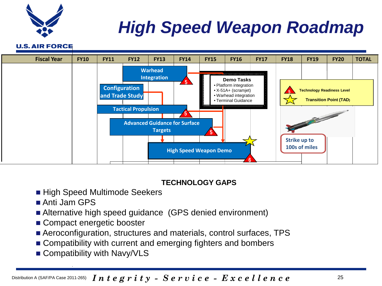

### *High Speed Weapon Roadmap*

**U.S. AIR FORCE** 



#### **TECHNOLOGY GAPS**

- High Speed Multimode Seekers
- Anti Jam GPS
- Alternative high speed guidance (GPS denied environment)
- Compact energetic booster
- Aeroconfiguration, structures and materials, control surfaces, TPS
- Compatibility with current and emerging fighters and bombers
- Compatibility with Navy/VLS

Distribution A (SAF/PA Case 2011-265)  $\,$   $\,I\,n$   $\,t\,e\,g\,r\,i\,t\,y\,$  -  $\,S\,e\,r\,v\,i\,c\,e\,$  -  $\,E\,x\,c\,e\,l\,l\,e\,n\,c\,e$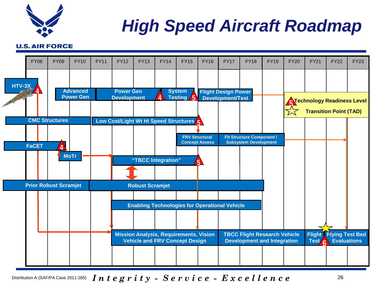

### *High Speed Aircraft Roadmap*

#### **U.S. AIR FORCE**



Distribution A (SAF/PA Case 2011-265)  $\,$   $\,I\,n$   $\,t\,e\,g\,r\,i\,t\,y\,$  -  $\,S\,e\,r\,v\,i\,c\,e\,$  -  $\,E\,x\,c\,e\,l\,l\,e\,n\,c\,e$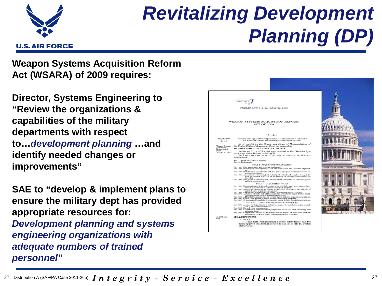

### *Revitalizing Development Planning (DP)*

**Weapon Systems Acquisition Reform Act (WSARA) of 2009 requires:** 

**Director, Systems Engineering to "Review the organizations & capabilities of the military departments with respect to…***development planning* **…and identify needed changes or improvements"** 

**SAE to "develop & implement plans to ensure the military dept has provided appropriate resources for:**  *Development planning and systems engineering organizations with adequate numbers of trained personnel"*



 $\,$ 27  $\,$  Distribution A (SAF/PA Case 2011-265)  $\,I\,n\,$   $\,t\,$   $\,e\,$   $\,g\,$   $\,r\,$   $\,i\,$   $\,t\,$   $\,y\,$   $\,$   $\,S\,$   $\,e\,$   $\,r\,$   $\,v\,$   $\,i\,$   $\,c\,$   $\,e\,$   $\,$   $\,E\,$   $\,x\,$   $\,c\,$   $\,e\,$   $\,l\,$